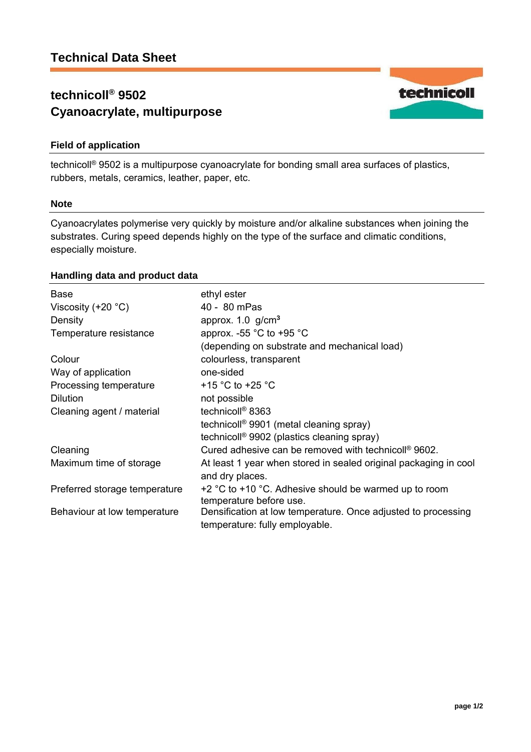# **technicoll® 9502 Cyanoacrylate, multipurpose**

# **Field of application**

technicoll® 9502 is a multipurpose cyanoacrylate for bonding small area surfaces of plastics, rubbers, metals, ceramics, leather, paper, etc.

### **Note**

Cyanoacrylates polymerise very quickly by moisture and/or alkaline substances when joining the substrates. Curing speed depends highly on the type of the surface and climatic conditions, especially moisture.

# **Handling data and product data**

| <b>Base</b>                   | ethyl ester                                                                                     |
|-------------------------------|-------------------------------------------------------------------------------------------------|
| Viscosity $(+20 °C)$          | 40 - 80 mPas                                                                                    |
| Density                       | approx. $1.0$ g/cm <sup>3</sup>                                                                 |
| Temperature resistance        | approx. -55 $^{\circ}$ C to +95 $^{\circ}$ C                                                    |
|                               | (depending on substrate and mechanical load)                                                    |
| Colour                        | colourless, transparent                                                                         |
| Way of application            | one-sided                                                                                       |
| Processing temperature        | +15 $\degree$ C to +25 $\degree$ C                                                              |
| <b>Dilution</b>               | not possible                                                                                    |
| Cleaning agent / material     | technicoll <sup>®</sup> 8363                                                                    |
|                               | technicoll <sup>®</sup> 9901 (metal cleaning spray)                                             |
|                               | technicoll <sup>®</sup> 9902 (plastics cleaning spray)                                          |
| Cleaning                      | Cured adhesive can be removed with technicoll <sup>®</sup> 9602.                                |
| Maximum time of storage       | At least 1 year when stored in sealed original packaging in cool<br>and dry places.             |
| Preferred storage temperature | +2 °C to +10 °C. Adhesive should be warmed up to room<br>temperature before use.                |
| Behaviour at low temperature  | Densification at low temperature. Once adjusted to processing<br>temperature: fully employable. |